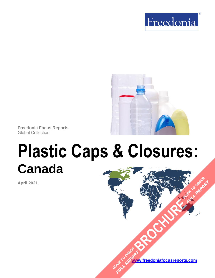



**Freedonia Focus Reports** Global Collection

# **Plastic Caps & Closures: Canada**

**April 2021**

**[www.freedoniafocusreports.com](https://www.freedoniafocusreports.com/redirect.asp?progid=89534&url=/)** CLICK TO ORDER **FULL REPORT** 

**[BROCHURE](https://www.freedoniafocusreports.com/Plastic-Caps-Closures-Canada-FA30066/?progid=89541) CLICK TO ORDER** 

**FULL REPORT**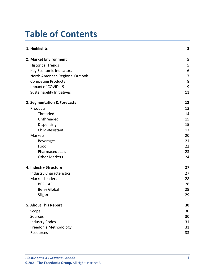# **Table of Contents**

| 1. Highlights                   | $\overline{\mathbf{3}}$ |
|---------------------------------|-------------------------|
| 2. Market Environment           | 5                       |
| <b>Historical Trends</b>        | 5                       |
| Key Economic Indicators         | 6                       |
| North American Regional Outlook | 7                       |
| <b>Competing Products</b>       | 8                       |
| Impact of COVID-19              | 9                       |
| Sustainability Initiatives      | 11                      |
| 3. Segmentation & Forecasts     | 13                      |
| Products                        | 13                      |
| Threaded                        | 14                      |
| Unthreaded                      | 15                      |
| Dispensing                      | 15                      |
| Child-Resistant                 | 17                      |
| Markets                         | 20                      |
| <b>Beverages</b>                | 21                      |
| Food                            | 22                      |
| Pharmaceuticals                 | 23                      |
| <b>Other Markets</b>            | 24                      |
| 4. Industry Structure           | 27                      |
| <b>Industry Characteristics</b> | 27                      |
| <b>Market Leaders</b>           | 28                      |
| <b>BERICAP</b>                  | 28                      |
| <b>Berry Global</b>             | 29                      |
| Silgan                          | 29                      |
| 5. About This Report            | 30                      |
| Scope                           | 30                      |
| Sources                         | 30                      |
| <b>Industry Codes</b>           | 31                      |
| Freedonia Methodology           | 31                      |
| Resources                       | 33                      |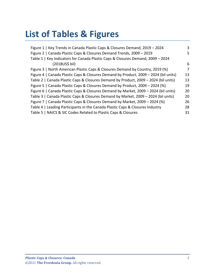# **List of Tables & Figures**

| Figure 1   Key Trends in Canada Plastic Caps & Closures Demand, 2019 - 2024          | 3  |
|--------------------------------------------------------------------------------------|----|
|                                                                                      |    |
| Figure 2   Canada Plastic Caps & Closures Demand Trends, 2009 - 2019                 | 5  |
| Table 1   Key Indicators for Canada Plastic Caps & Closures Demand, 2009 - 2024      |    |
| (2018US\$ bil)                                                                       | 6  |
| Figure 3   North American Plastic Caps & Closures Demand by Country, 2019 (%)        | 7  |
| Figure 4   Canada Plastic Caps & Closures Demand by Product, 2009 - 2024 (bil units) | 13 |
| Table 2   Canada Plastic Caps & Closures Demand by Product, 2009 - 2024 (bil units)  | 13 |
| Figure 5   Canada Plastic Caps & Closures Demand by Product, 2009 - 2024 (%)         | 19 |
| Figure 6   Canada Plastic Caps & Closures Demand by Market, 2009 - 2024 (bil units)  | 20 |
| Table 3   Canada Plastic Caps & Closures Demand by Market, 2009 - 2024 (bil units)   | 20 |
| Figure 7   Canada Plastic Caps & Closures Demand by Market, 2009 - 2024 (%)          | 26 |
| Table 4   Leading Participants in the Canada Plastic Caps & Closures Industry        | 28 |
| Table 5   NAICS & SIC Codes Related to Plastic Caps & Closures                       | 31 |
|                                                                                      |    |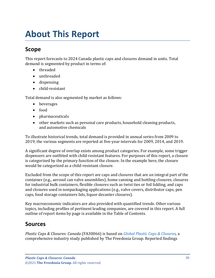# <span id="page-3-0"></span>**About This Report**

## <span id="page-3-1"></span>**Scope**

This report forecasts to 2024 Canada plastic caps and closures demand in units. Total demand is segmented by product in terms of:

- threaded
- unthreaded
- dispensing
- child-resistant

Total demand is also segmented by market as follows:

- beverages
- food
- pharmaceuticals
- other markets such as personal care products, household cleaning products, and automotive chemicals

To illustrate historical trends, total demand is provided in annual series from 2009 to 2019; the various segments are reported at five-year intervals for 2009, 2014, and 2019.

A significant degree of overlap exists among product categories. For example, some trigger dispensers are outfitted with child-resistant features. For purposes of this report, a closure is categorized by the primary function of the closure. In the example here, the closure would be categorized as a child-resistant closure.

Excluded from the scope of this report are caps and closures that are an integral part of the container (e.g., aerosol can valve assemblies), home canning and bottling closures, closures for industrial bulk containers, flexible closures such as twist ties or foil lidding, and caps and closures used in nonpackaging applications (e.g., valve covers, distributor caps, pen caps, food storage containers lids, liquor decanter closures).

Key macroeconomic indicators are also provided with quantified trends. Other various topics, including profiles of pertinent leading companies, are covered in this report. A full outline of report items by page is available in the Table of Contents.

## <span id="page-3-2"></span>**Sources**

*Plastic Caps & Closures: Canada* (FA30066) is based on *[Global Plastic Caps & Closures,](http://www.freedoniagroup.com/DocumentDetails.aspx?ReferrerId=FL-FOCUS&studyid=4088)* a comprehensive industry study published by The Freedonia Group. Reported findings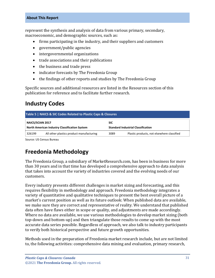#### **About This Report**

represent the synthesis and analysis of data from various primary, secondary, macroeconomic, and demographic sources, such as:

- firms participating in the industry, and their suppliers and customers
- government/public agencies
- intergovernmental organizations
- trade associations and their publications
- the business and trade press
- indicator forecasts by The Freedonia Group
- the findings of other reports and studies by The Freedonia Group

Specific sources and additional resources are listed in the Resources section of this publication for reference and to facilitate further research.

## <span id="page-4-0"></span>**Industry Codes**

<span id="page-4-2"></span>

| Table 5   NAICS & SIC Codes Related to Plastic Caps & Closures                                    |                                          |      |                                            |  |
|---------------------------------------------------------------------------------------------------|------------------------------------------|------|--------------------------------------------|--|
| <b>NAICS/SCIAN 2017</b><br><b>SIC</b>                                                             |                                          |      |                                            |  |
| <b>North American Industry Classification System</b><br><b>Standard Industrial Classification</b> |                                          |      |                                            |  |
| 326199                                                                                            | All other plastics product manufacturing | 3089 | Plastic products, not elsewhere classified |  |

Source: US Census Bureau

## <span id="page-4-1"></span>**Freedonia Methodology**

The Freedonia Group, a subsidiary of MarketResearch.com, has been in business for more than 30 years and in that time has developed a comprehensive approach to data analysis that takes into account the variety of industries covered and the evolving needs of our customers.

Every industry presents different challenges in market sizing and forecasting, and this requires flexibility in methodology and approach. Freedonia methodology integrates a variety of quantitative and qualitative techniques to present the best overall picture of a market's current position as well as its future outlook: When published data are available, we make sure they are correct and representative of reality. We understand that published data often have flaws either in scope or quality, and adjustments are made accordingly. Where no data are available, we use various methodologies to develop market sizing (both top-down and bottom-up) and then triangulate those results to come up with the most accurate data series possible. Regardless of approach, we also talk to industry participants to verify both historical perspective and future growth opportunities.

Methods used in the preparation of Freedonia market research include, but are not limited to, the following activities: comprehensive data mining and evaluation, primary research,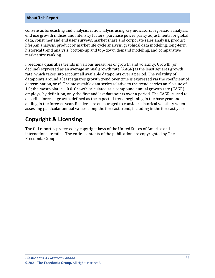#### **About This Report**

consensus forecasting and analysis, ratio analysis using key indicators, regression analysis, end use growth indices and intensity factors, purchase power parity adjustments for global data, consumer and end user surveys, market share and corporate sales analysis, product lifespan analysis, product or market life cycle analysis, graphical data modeling, long-term historical trend analysis, bottom-up and top-down demand modeling, and comparative market size ranking.

Freedonia quantifies trends in various measures of growth and volatility. Growth (or decline) expressed as an average annual growth rate (AAGR) is the least squares growth rate, which takes into account all available datapoints over a period. The volatility of datapoints around a least squares growth trend over time is expressed via the coefficient of determination, or  $r^2$ . The most stable data series relative to the trend carries an  $r^2$  value of 1.0; the most volatile – 0.0. Growth calculated as a compound annual growth rate (CAGR) employs, by definition, only the first and last datapoints over a period. The CAGR is used to describe forecast growth, defined as the expected trend beginning in the base year and ending in the forecast year. Readers are encouraged to consider historical volatility when assessing particular annual values along the forecast trend, including in the forecast year.

## **Copyright & Licensing**

The full report is protected by copyright laws of the United States of America and international treaties. The entire contents of the publication are copyrighted by The Freedonia Group.